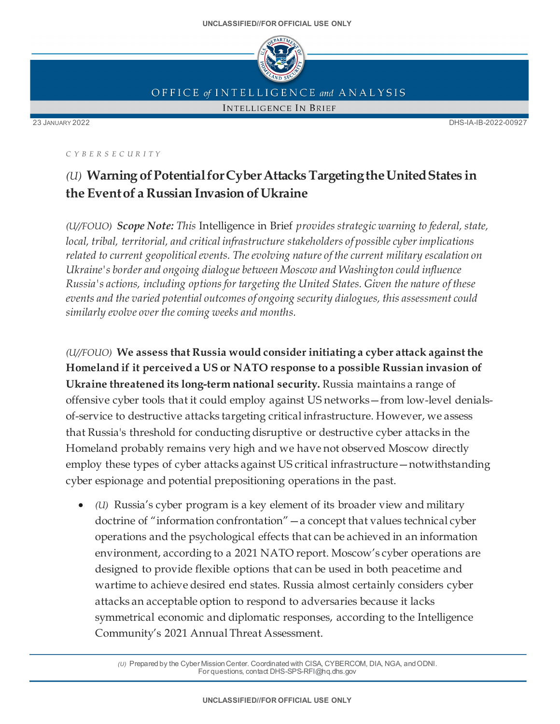

OFFICE of INTELLIGENCE and ANALYSIS

**INTELLIGENCE IN BRIEF** 

23 JANUARY 2022 DHS-IA-IB-2022-00927

*C Y BER S EC UR ITY*

## *(U)* **Warning ofPotentialforCyberAttacks TargetingtheUnitedStates in the Eventof a Russian Invasion ofUkraine**

*(U//FOUO) Scope Note: This* Intelligence in Brief *provides strategic warning to federal, state, local, tribal, territorial, and critical infrastructure stakeholders of possible cyber implications related to current geopoliticalevents. The evolving nature of the current military escalation on Ukraine's border and ongoing dialogue between Moscow and Washington could influence Russia's actions, including options for targeting the United States. Given the nature of these events and the varied potential outcomes of ongoing security dialogues, this assessment could similarly evolve over the coming weeks and months.*

*(U//FOUO)* **We assess that Russia would consider initiating a cyber attack against the Homeland if it perceived a US or NATO response to a possible Russian invasion of Ukraine threatened its long-term national security.** Russia maintains a range of offensive cyber tools that it could employ against US networks—from low-level denialsof-service to destructive attacks targeting critical infrastructure. However, we assess that Russia's threshold for conducting disruptive or destructive cyber attacks in the Homeland probably remains very high and we have not observed Moscow directly employ these types of cyber attacks against US critical infrastructure—notwithstanding cyber espionage and potential prepositioning operations in the past.

• *(U)* Russia's cyber program is a key element of its broader view and military doctrine of "information confrontation"—a concept that values technical cyber operations and the psychological effects that can be achieved in an information environment, according to a 2021 NATO report. Moscow's cyber operations are designed to provide flexible options that can be used in both peacetime and wartime to achieve desired end states. Russia almost certainly considers cyber attacks an acceptable option to respond to adversaries because it lacks symmetrical economic and diplomatic responses, according to the Intelligence Community's 2021 Annual Threat Assessment.

*(U)* Prepared by the Cyber Mission Center. Coordinated with CISA, CYBERCOM, DIA, NGA, and ODNI. For questions, contact DHS-SPS-RFI@hq.dhs.gov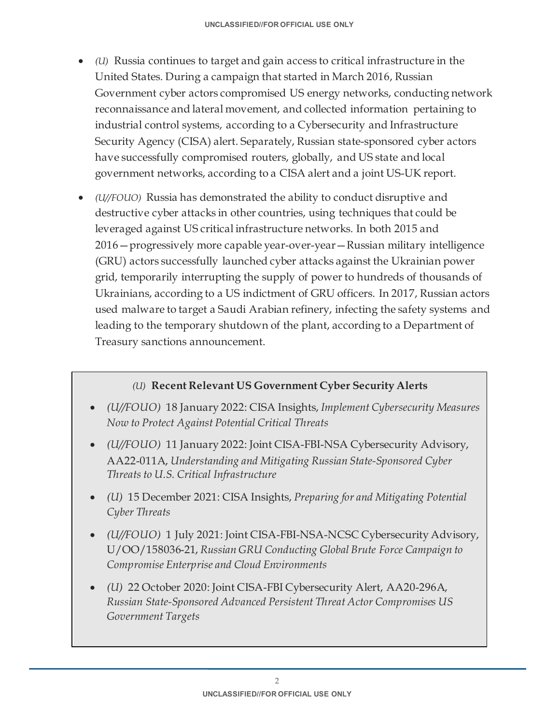- *(U)* Russia continues to target and gain access to critical infrastructure in the United States. During a campaign that started in March 2016, Russian Government cyber actors compromised US energy networks, conducting network reconnaissance and lateral movement, and collected information pertaining to industrial control systems, according to a Cybersecurity and Infrastructure Security Agency (CISA) alert. Separately, Russian state-sponsored cyber actors have successfully compromised routers, globally, and US state and local government networks, according to a CISA alert and a joint US-UK report.
- *(U//FOUO)* Russia has demonstrated the ability to conduct disruptive and destructive cyber attacks in other countries, using techniques that could be leveraged against US critical infrastructure networks. In both 2015 and 2016—progressively more capable year-over-year—Russian military intelligence (GRU) actors successfully launched cyber attacks against the Ukrainian power grid, temporarily interrupting the supply of power to hundreds of thousands of Ukrainians, according to a US indictment of GRU officers. In 2017, Russian actors used malware to target a Saudi Arabian refinery, infecting the safety systems and leading to the temporary shutdown of the plant, according to a Department of Treasury sanctions announcement.

## *(U)* **Recent Relevant US Government Cyber Security Alerts**

- *(U//FOUO)* 18 January 2022: CISA Insights, *Implement Cybersecurity Measures Now to Protect Against Potential Critical Threats*
- *(U//FOUO)* 11 January 2022: Joint CISA-FBI-NSA Cybersecurity Advisory, AA22-011A, *Understanding and Mitigating Russian State-Sponsored Cyber Threats to U.S. Critical Infrastructure*
- *(U)* 15 December 2021: CISA Insights, *Preparing for and Mitigating Potential Cyber Threats*
- *(U//FOUO)* 1 July 2021: Joint CISA-FBI-NSA-NCSC Cybersecurity Advisory, U/OO/158036-21, *Russian GRU Conducting Global Brute Force Campaign to Compromise Enterprise and Cloud Environments*
- *(U)* 22 October 2020: Joint CISA-FBI Cybersecurity Alert, AA20-296A, *Russian State-Sponsored Advanced Persistent Threat Actor Compromises US Government Targets*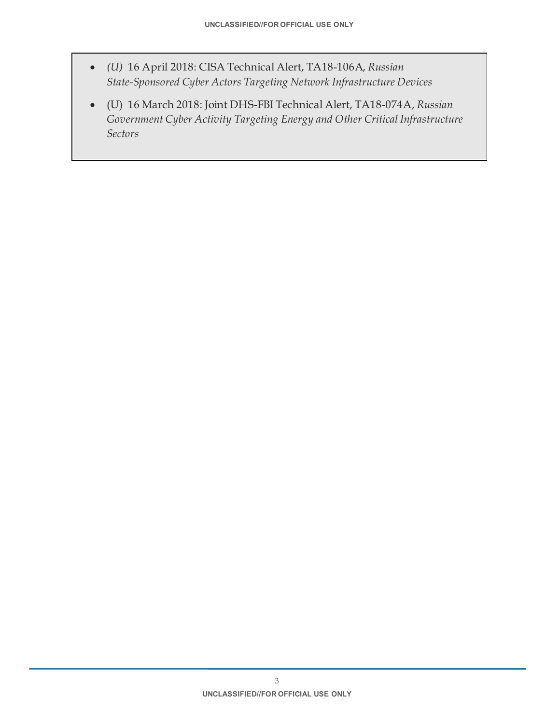- *(U)* 16 April 2018: CISA Technical Alert, TA18-106A, *Russian State-Sponsored Cyber Actors Targeting Network Infrastructure Devices*
- (U) 16 March 2018: Joint DHS-FBI Technical Alert, TA18-074A, *Russian Government Cyber Activity Targeting Energy and Other Critical Infrastructure Sectors*